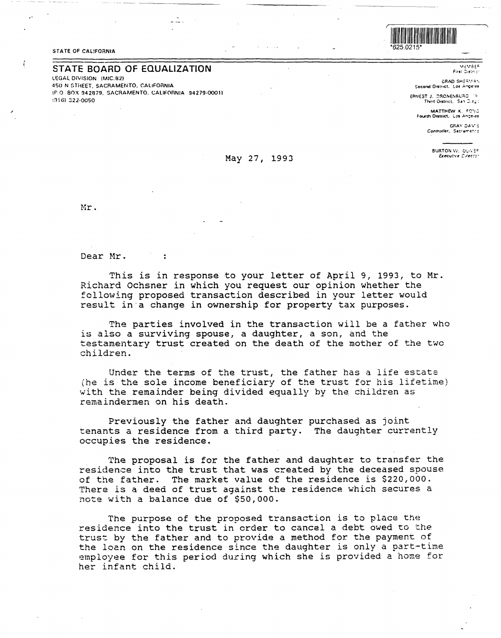## STATE OF CALIFORNIA

ť

## **STATE BOARD OF EQUALIZATION**

**LEGAL DIVISION (MIC:B21 450 N STHEET. SACRAMENTO. CALIFORNIA**  lf'.O **BOX 942879. SACRAMENTO. CALIFC\RNIA 94279-00011**  i:116) 322·0050



**MEMBER** First District

**CRAD SHEEMAN** Second District. Los Angeles

ERNEST J. DRONENBUAG / 14 Third District, San Dieg:

MATTHEW K. FONG<br>Fourth District, Los Angeles

GRAY DAV'S Contraller, Secrements

BURTON W. OUVEF<sub>1</sub>

Mr.

Dear Mr.

 $\ddot{\cdot}$ 

This is in response to your letter of April 9, 1993, to Mr. Richard Ochsner in which you request our opinion whether the following proposed transaction described in your letter would result in·a change in ownership for property tax purposes.

May 27, 1993

The parties involved in the transaction will be a father who is also a surviving spouse, a daughter, a son, and the testamentary trust created on the death of the mother of the two children.

Under the terms of the trust, the father has a life estate (he is the sole income beneficiary of the trust for his lifetime) with the remainder being divided equally by the children as remaindermen on his death.

Previously the father and daughter purchased as joint tenants a residence from a third party. The daughter currently occupies the residence.

The proposal is for the father and daughter to transfer the residence into the trust that was created by the deceased spouse of the father. The market value of the residence is \$220,000. There is a deed of trust against the residence which secures a note with a balance due of \$50,000.

The purpose of the proposed transaction is to place the residence into the trust in order to cancel a debt owed to the trust by the father and to provide a method for the payment of the loan on the residence since the daughter is only a part-time employee for this period during which she is provided a home for her infant child.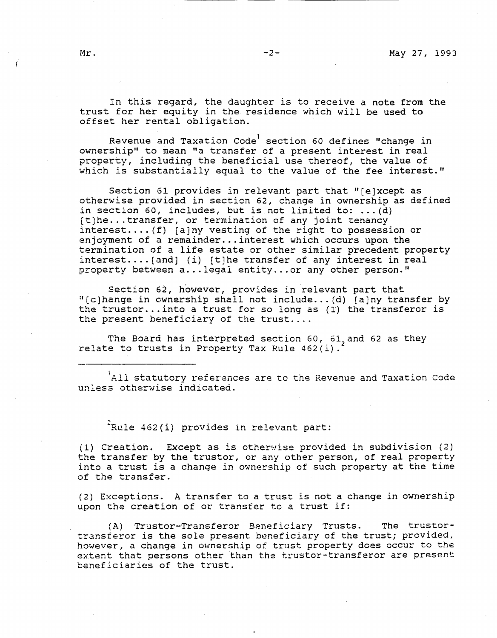In this regard, the daughter is to receive a note from the trust for her equity in the residence which will be used to offset her rental obligation.

Revenue and Taxation Code<sup>1</sup> section 60 defines "change in ownership'' to mean "a transfer of a present interest in real property, including the beneficial use thereof, the value of which is substantially equal to the value of the fee interest.''

Section 61 provides in relevant part that "(e]xcept as otherwise provided in section 62, change in ownership as defined in section 60, includes, but is not limited to:  $\dots$  (d)  $[t]$ he... transfer, or termination of any joint tenancy interest....  $(f)$  [a]ny vesting of the right to possession or enjoyment of a remainder... interest which occurs upon the termination of a life estate or other similar precedent property  $interest...$  [and] (i) [t]he transfer of any interest in real property between a... legal entity... or any other person."

Section 62, however, provides in relevant part that ir[c)hange in ownership shall not include ... (d) (a)ny transfer by the trustor... into a trust for so long as  $(1)$  the transferor is the present beneficiary of the trust....

The Board has interpreted section 60, 61 and 62 as they relate to trusts in Property Tax Rule  $462(i)$ .

All statutory references are to the Revenue and Taxation Code unless otherwise indicated.

 $^2$ Rule 462(i) provides in relevant part:

(l} Creation. Except as is otherwise provided in subdivision (2) the transfer by the trustor, or any other person, of real property into a trust is a change in ownership of such property at the time of the transfer.

(2) Exceptions. A transfer to a trust is not a change in ownership upon the creation of or transfer to a trust if:

(A) Truster-Transferor Beneficiary Trusts. The trustortransferor is the sole present beneficiary of the trust; provided, however, a change in ownership of trust property does occur to the extent that persons other than the truster-transferor are present beneficiaries of the trust.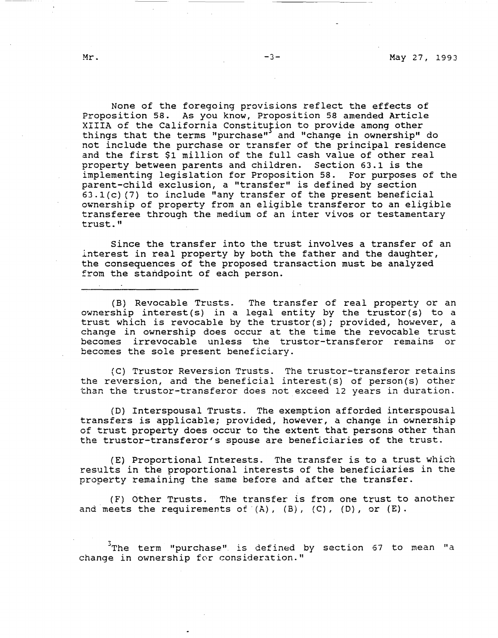None of the foregoing provisions reflect the effects of Proposition 58. As you know, Proposition 58 amended Article XIIIA of the California Constitufion to provide among other things that the terms "purchase" and "change in ownership" do not include the purchase or transfer of the principal residence and the first \$1 million of the full cash value of other real property between parents and children. Section 63.1 is the implementing legislation for Proposition 58. For purposes of the parent-child exclusion, a "transfer" is defined by section 63.l(c) (7) to include "any transfer of the present beneficial ownership of property from an eligible transferor to an eligible transferee through the medium of an inter vivos or testamentary trust."

Since the transfer into the trust involves a transfer of an interest in real property by both the father and the daughter, the consequences of the proposed transaction must be analyzed from the standpoint of each person.

(B) Revocable Trusts. The transfer of real property or an ownership interest(s) in a legal entity by the trustor(s) to a trust which is revocable by the trustor(s); provided, however, a change in ownership does occur at the time the revocable trust becomes irrevocable unless the truster-transferor remains or becomes the sole present beneficiary.

(C) Truster Reversion Trusts. The truster-transferor retains the reversion, and the beneficial interest(s) of person(s) other than the truster-transferor does not exceed 12 years in duration.

(D) Interspousal Trusts. The exemption afforded interspousal transfers is applicable; provided, however, a change in ownership of trust property does occur to the extent that persons other than the trustor-transferor's spouse are beneficiaries of the trust.

(E) Proportional Interests. The transfer is to a trust which results in the proportional interests of the beneficiaries in the property remaining the same before and after the transfer.

(F) Other Trusts. The transfer is from one trust to another and meets the requirements of  $(A)$ ,  $(B)$ ,  $(C)$ ,  $(D)$ , or  $(E)$ .

 $3$ The term "purchase" is defined by section 67 to mean "a change in ownership for consideration."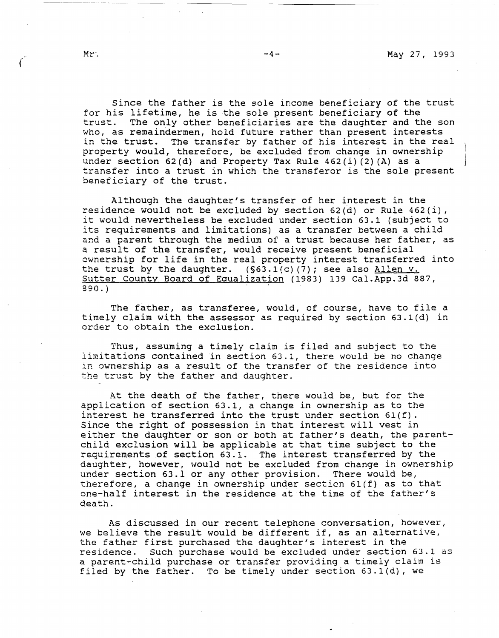Since the father is the sole income beneficiary of the trust for his lifetime, he is the sole present beneficiary of the trust. The only other beneficiaries are the daughter and the son who, as remaindermen, hold future rather than present interests in the trust. The transfer by father of his interest in the real property would, therefore, be excluded from change in ownership under section 62(d) and Property Tax Rule 462(i) (2) (A) as a transfer into a trust in which the transferor is the sole present beneficiary of the trust.

Although the daughter's transfer of her interest in the residence would not be excluded by section  $62(d)$  or Rule  $462(i)$ , it would nevertheless be excluded under section 63.1 (subject to its requirements and limitations) as a transfer between a child and a parent through the medium of a trust because her father, as a result of the transfer, would receive present beneficial ownership for life in the real property interest transferred into the trust by the daughter.  $(S63.1(c) (7)$ ; see also Allen v. Sutter County Board of Equalization (1983) 139 Cal.App.3d 887, 890.)

The father, as transferee, would, of course, have to file a timely claim with the assessor as required by section 63.l(d) in order to obtain the exclusion.

Thus, assuming a timely claim is filed and subject to the limitations contained in section 63.l, there would be no change in ownership as a result of the transfer of the residence into the trust by the father and daughter.

At the death of the father, there would be, but for the application of section 63.1, a change in ownership as to the interest he transferred into the trust under section  $61(f)$ . Since the right of possession in that interest will vest in either the daughter or son or both at father's death, the parentchild exclusion will be applicable at that time subject to the requirements of section 63.1. The interest transferred by the daughter, however, would not be excluded from change in ownership under section 63.l or any other provision. There would be, therefore, a change in ownership under section 61(f) as to that one-half interest in the residence at the time of the father's death.

As discussed in our recent telephone conversation, however, we believe the result would be different if, as an alternative, the father first purchased the daughter's interest in the residence. Such purchase would be excluded under section 63.l as a parent-child purchase or transfer providing a timely claim is filed by the father. To be timely under section 63.l(d), we

*{*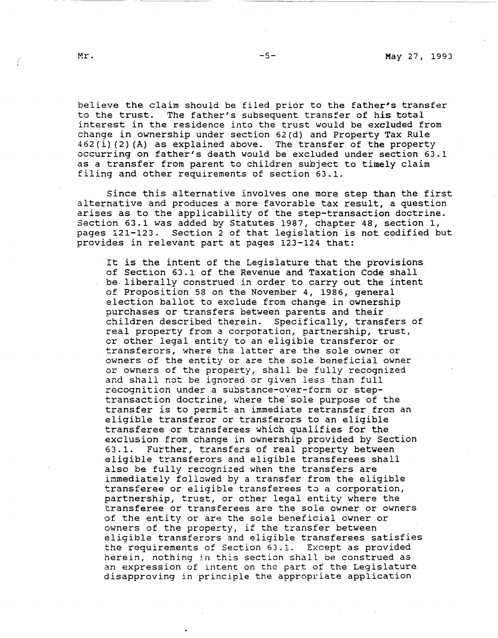believe the claim should be filed prior to the father's transfer to the trust. The father's subsequent transfer of *his* total interest in the residence into the trust would be excluded from change in ownership under section 62(d) and Property Tax Rule 462(i) (2) (A) as explained above. The transfer of the property occurring on father's death would be excluded under section 63.1 as a transfer from parent to children subject to timely claim filing and other requirements of section 63.1.

Since this alternative involves one more step than the first alternative and produces a more favorable tax result, a question arises as to the applicability of the step-transaction doctrine. Section 63.1 was added by Statutes 1987, chapter 48, section 1, pages 121-123. Section 2 of that legislation is not codified but provides in relevant part at pages 123-124 that:

It is the intent of the Legislature that the provisions of Section 63.1 of the Revenue and Taxation Code shall be. liberally construed in order to carry out the intent of Proposition 58 on the November 4, 1986, general election ballot to exclude from change in ownership purchases or transfers between parents and their children described therein. Specifically, transfers of real property from a corporation, partnership, trust, er other legal entity to an eligible transferor or transferors, where the latter are the sole owner or owners of the entity or are the sole beneficial owner or owners of the property, shall be fully recognized and shall not be ignored or given less than full recognition under a substance-over-form or steptransaction doctrine, where the'sole purpose of the transfer is to permit an immediate retransfer from an eligible transferor or transferors to an eligible transferee or transferees which qualifies for the exclusion from change in ownership provided by Section 63.1. Further, transfers of real property between eligible transferors and eligible transferees shall also be fully recognized when the transfers are immediately followed by a transfer from the eligible transferee or eligible transferees to a corporation, partnership, trust, or other legal entity where the transferee or transferees are the sole owner or owners of the entity or are the sole beneficial owner or owners of the property, if the transfer between eligible transferors and eligible transferees satisfies the requirements of Section 63.1. Except as provided herein, nothing in this section shall be construed as an expression of intent on the part of the Legislature disapproving in principle the appropriate application

Ť